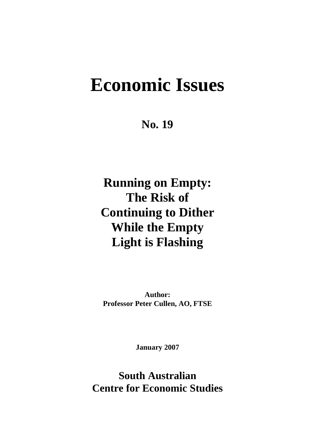# **Economic Issues**

**No. 19** 

**Running on Empty: The Risk of Continuing to Dither While the Empty Light is Flashing** 

**Author: Professor Peter Cullen, AO, FTSE** 

**January 2007** 

**South Australian Centre for Economic Studies**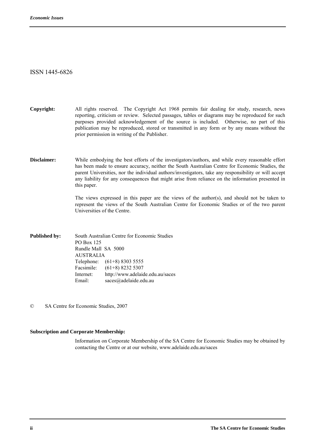#### ISSN 1445-6826

**Copyright:** All rights reserved. The Copyright Act 1968 permits fair dealing for study, research, news reporting, criticism or review. Selected passages, tables or diagrams may be reproduced for such purposes provided acknowledgement of the source is included. Otherwise, no part of this publication may be reproduced, stored or transmitted in any form or by any means without the prior permission in writing of the Publisher.

**Disclaimer:** While embodying the best efforts of the investigators/authors, and while every reasonable effort has been made to ensure accuracy, neither the South Australian Centre for Economic Studies, the parent Universities, nor the individual authors/investigators, take any responsibility or will accept any liability for any consequences that might arise from reliance on the information presented in this paper.

> The views expressed in this paper are the views of the author(s), and should not be taken to represent the views of the South Australian Centre for Economic Studies or of the two parent Universities of the Centre.

**Published by:** South Australian Centre for Economic Studies PO Box 125 Rundle Mall SA 5000 AUSTRALIA Telephone: (61+8) 8303 5555 Facsimile: (61+8) 8232 5307 Internet: http://www.adelaide.edu.au/saces Email: saces@adelaide.edu.au

© SA Centre for Economic Studies, 2007

#### **Subscription and Corporate Membership:**

 Information on Corporate Membership of the SA Centre for Economic Studies may be obtained by contacting the Centre or at our website, www.adelaide.edu.au/saces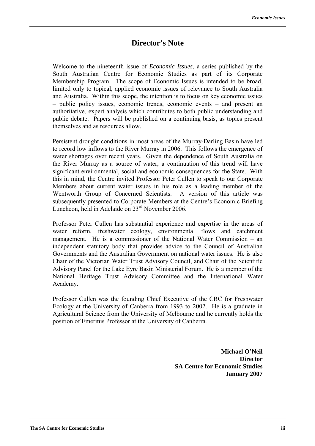## **Director's Note**

Welcome to the nineteenth issue of *Economic Issues*, a series published by the South Australian Centre for Economic Studies as part of its Corporate Membership Program. The scope of Economic Issues is intended to be broad, limited only to topical, applied economic issues of relevance to South Australia and Australia. Within this scope, the intention is to focus on key economic issues  $-$  public policy issues, economic trends, economic events  $-$  and present an authoritative, expert analysis which contributes to both public understanding and public debate. Papers will be published on a continuing basis, as topics present themselves and as resources allow.

Persistent drought conditions in most areas of the Murray-Darling Basin have led to record low inflows to the River Murray in 2006. This follows the emergence of water shortages over recent years. Given the dependence of South Australia on the River Murray as a source of water, a continuation of this trend will have significant environmental, social and economic consequences for the State. With this in mind, the Centre invited Professor Peter Cullen to speak to our Corporate Members about current water issues in his role as a leading member of the Wentworth Group of Concerned Scientists. A version of this article was subsequently presented to Corporate Members at the Centre's Economic Briefing Luncheon, held in Adelaide on 23<sup>rd</sup> November 2006.

Professor Peter Cullen has substantial experience and expertise in the areas of water reform, freshwater ecology, environmental flows and catchment management. He is a commissioner of the National Water Commission  $-$  an independent statutory body that provides advice to the Council of Australian Governments and the Australian Government on national water issues. He is also Chair of the Victorian Water Trust Advisory Council, and Chair of the Scientific Advisory Panel for the Lake Eyre Basin Ministerial Forum. He is a member of the National Heritage Trust Advisory Committee and the International Water Academy.

Professor Cullen was the founding Chief Executive of the CRC for Freshwater Ecology at the University of Canberra from 1993 to 2002. He is a graduate in Agricultural Science from the University of Melbourne and he currently holds the position of Emeritus Professor at the University of Canberra.

> **Michael O'Neil Director SA Centre for Economic Studies January 2007**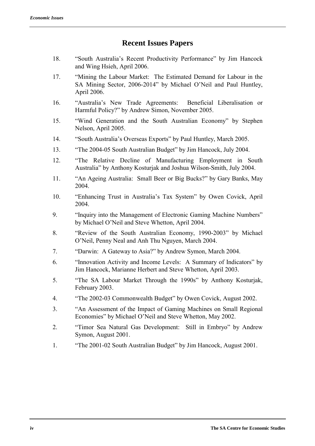# **Recent Issues Papers**

- 18. "South Australia's Recent Productivity Performance" by Jim Hancock and Wing Hsieh, April 2006.
- 17. *"Mining the Labour Market: The Estimated Demand for Labour in the* SA Mining Sector, 2006-2014" by Michael O'Neil and Paul Huntley, April 2006.
- 16. "Australia's New Trade Agreements: Beneficial Liberalisation or Harmful Policy?" by Andrew Simon, November 2005.
- 15. "Wind Generation and the South Australian Economy" by Stephen Nelson, April 2005.
- 14. <sup>"South</sup> Australia's Overseas Exports" by Paul Huntley, March 2005.
- 13. <sup>The 2004-05</sup> South Australian Budget" by Jim Hancock, July 2004.
- 12. ìThe Relative Decline of Manufacturing Employment in South Australiaî by Anthony Kosturjak and Joshua Wilson-Smith, July 2004.
- 11. <sup>"An</sup> Ageing Australia: Small Beer or Big Bucks?" by Gary Banks, May 2004.
- 10. "Enhancing Trust in Australia's Tax System" by Owen Covick, April 2004.
- 9. <sup>II</sup>nquiry into the Management of Electronic Gaming Machine Numbers<sup>"</sup> by Michael O'Neil and Steve Whetton, April 2004.
- 8. <sup>"</sup>Review of the South Australian Economy, 1990-2003" by Michael OíNeil, Penny Neal and Anh Thu Nguyen, March 2004.
- 7. <sup>The c</sup>Darwin: A Gateway to Asia?" by Andrew Symon, March 2004.
- 6. <sup>"Innovation Activity and Income Levels: A Summary of Indicators" by</sup> Jim Hancock, Marianne Herbert and Steve Whetton, April 2003.
- 5. <sup>The</sup> SA Labour Market Through the 1990s" by Anthony Kosturjak, February 2003.
- 4. <sup>The 2002-03</sup> Commonwealth Budget" by Owen Covick, August 2002.
- 3. <sup>The</sup> An Assessment of the Impact of Gaming Machines on Small Regional Economies" by Michael O'Neil and Steve Whetton, May 2002.
- 2. <sup>Timor</sup> Sea Natural Gas Development: Still in Embryo" by Andrew Symon, August 2001.
- 1. <sup>The 2001-02</sup> South Australian Budget" by Jim Hancock, August 2001.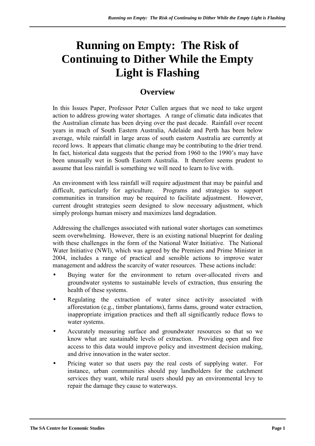# **Running on Empty: The Risk of Continuing to Dither While the Empty Light is Flashing**

# **Overview**

In this Issues Paper, Professor Peter Cullen argues that we need to take urgent action to address growing water shortages. A range of climatic data indicates that the Australian climate has been drying over the past decade. Rainfall over recent years in much of South Eastern Australia, Adelaide and Perth has been below average, while rainfall in large areas of south eastern Australia are currently at record lows. It appears that climatic change may be contributing to the drier trend. In fact, historical data suggests that the period from 1960 to the 1990's may have been unusually wet in South Eastern Australia. It therefore seems prudent to assume that less rainfall is something we will need to learn to live with.

An environment with less rainfall will require adjustment that may be painful and difficult, particularly for agriculture. Programs and strategies to support communities in transition may be required to facilitate adjustment. However, current drought strategies seem designed to slow necessary adjustment, which simply prolongs human misery and maximizes land degradation.

Addressing the challenges associated with national water shortages can sometimes seem overwhelming. However, there is an existing national blueprint for dealing with these challenges in the form of the National Water Initiative. The National Water Initiative (NWI), which was agreed by the Premiers and Prime Minister in 2004, includes a range of practical and sensible actions to improve water management and address the scarcity of water resources. These actions include:

- Buying water for the environment to return over-allocated rivers and groundwater systems to sustainable levels of extraction, thus ensuring the health of these systems.
- Regulating the extraction of water since activity associated with afforestation (e.g., timber plantations), farms dams, ground water extraction, inappropriate irrigation practices and theft all significantly reduce flows to water systems.
- Accurately measuring surface and groundwater resources so that so we know what are sustainable levels of extraction. Providing open and free access to this data would improve policy and investment decision making, and drive innovation in the water sector.
- Pricing water so that users pay the real costs of supplying water. For instance, urban communities should pay landholders for the catchment services they want, while rural users should pay an environmental levy to repair the damage they cause to waterways.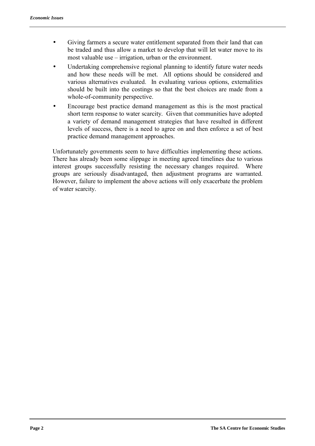- Giving farmers a secure water entitlement separated from their land that can be traded and thus allow a market to develop that will let water move to its most valuable use  $-$  irrigation, urban or the environment.
- Undertaking comprehensive regional planning to identify future water needs and how these needs will be met. All options should be considered and various alternatives evaluated. In evaluating various options, externalities should be built into the costings so that the best choices are made from a whole-of-community perspective.
- Encourage best practice demand management as this is the most practical short term response to water scarcity. Given that communities have adopted a variety of demand management strategies that have resulted in different levels of success, there is a need to agree on and then enforce a set of best practice demand management approaches.

Unfortunately governments seem to have difficulties implementing these actions. There has already been some slippage in meeting agreed timelines due to various interest groups successfully resisting the necessary changes required. Where groups are seriously disadvantaged, then adjustment programs are warranted. However, failure to implement the above actions will only exacerbate the problem of water scarcity.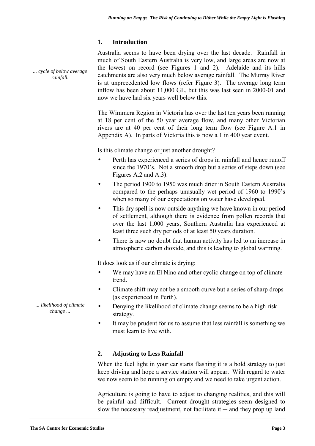#### **1. Introduction**

*... cycle of below average rainfall.* 

Australia seems to have been drying over the last decade. Rainfall in much of South Eastern Australia is very low, and large areas are now at the lowest on record (see Figures 1 and 2). Adelaide and its hills catchments are also very much below average rainfall. The Murray River is at unprecedented low flows (refer Figure 3). The average long term inflow has been about 11,000 GL, but this was last seen in 2000-01 and now we have had six years well below this.

The Wimmera Region in Victoria has over the last ten years been running at 18 per cent of the 50 year average flow, and many other Victorian rivers are at 40 per cent of their long term flow (see Figure A.1 in Appendix A). In parts of Victoria this is now a 1 in 400 year event.

Is this climate change or just another drought?

- Perth has experienced a series of drops in rainfall and hence runoff since the 1970's. Not a smooth drop but a series of steps down (see Figures A.2 and A.3).
- The period 1900 to 1950 was much drier in South Eastern Australia compared to the perhaps unusually wet period of 1960 to 1990's when so many of our expectations on water have developed.
- This dry spell is now outside anything we have known in our period of settlement, although there is evidence from pollen records that over the last 1,000 years, Southern Australia has experienced at least three such dry periods of at least 50 years duration.
- There is now no doubt that human activity has led to an increase in atmospheric carbon dioxide, and this is leading to global warming.

It does look as if our climate is drying:

- We may have an El Nino and other cyclic change on top of climate trend.
- Climate shift may not be a smooth curve but a series of sharp drops (as experienced in Perth).
- Denying the likelihood of climate change seems to be a high risk strategy.
- It may be prudent for us to assume that less rainfall is something we must learn to live with.

### **2. Adjusting to Less Rainfall**

When the fuel light in your car starts flashing it is a bold strategy to just keep driving and hope a service station will appear. With regard to water we now seem to be running on empty and we need to take urgent action.

Agriculture is going to have to adjust to changing realities, and this will be painful and difficult. Current drought strategies seem designed to slow the necessary readjustment, not facilitate it  $-$  and they prop up land

*... likelihood of climate change ...*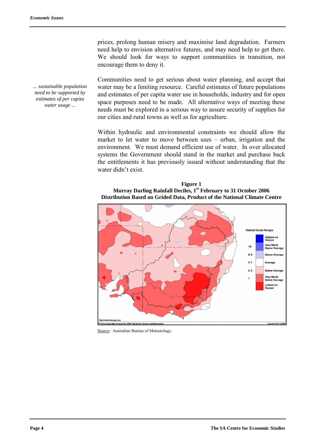*... sustainable population need to be supported by estimates of per capita water usage ...* 

prices, prolong human misery and maximise land degradation. Farmers need help to envision alternative futures, and may need help to get there. We should look for ways to support communities in transition, not encourage them to deny it.

Communities need to get serious about water planning, and accept that water may be a limiting resource. Careful estimates of future populations and estimates of per capita water use in households, industry and for open space purposes need to be made. All alternative ways of meeting these needs must be explored in a serious way to assure security of supplies for our cities and rural towns as well as for agriculture.

Within hydraulic and environmental constraints we should allow the market to let water to move between uses  $-$  urban, irrigation and the environment. We must demand efficient use of water. In over allocated systems the Government should stand in the market and purchase back the entitlements it has previously issued without understanding that the water didn't exist.

**Figure 1 Murray Darling Rainfall Deciles, 1st February to 31 October 2006 Distribution Based on Grided Data, Product of the National Climate Centre** 



Source: Australian Bureau of Meteorology.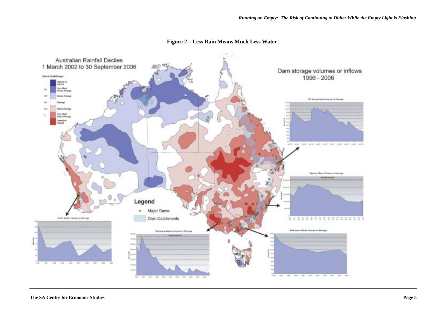

**Figure 2 – Less Rain Means Much Less Water!**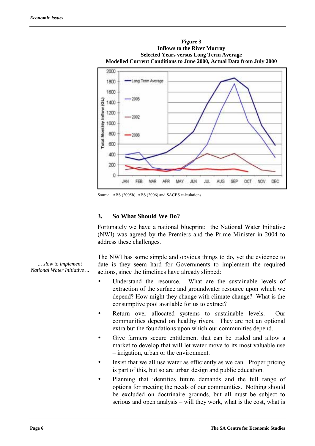

Source: ABS (2005b), ABS (2006) and SACES calculations.

#### **3. So What Should We Do?**

Fortunately we have a national blueprint: the National Water Initiative (NWI) was agreed by the Premiers and the Prime Minister in 2004 to address these challenges.

The NWI has some simple and obvious things to do, yet the evidence to date is they seem hard for Governments to implement the required actions, since the timelines have already slipped:

- Understand the resource. What are the sustainable levels of extraction of the surface and groundwater resource upon which we depend? How might they change with climate change? What is the consumptive pool available for us to extract?
- Return over allocated systems to sustainable levels. Our communities depend on healthy rivers. They are not an optional extra but the foundations upon which our communities depend.
- Give farmers secure entitlement that can be traded and allow a market to develop that will let water move to its most valuable use  $-$  irrigation, urban or the environment.
- Insist that we all use water as efficiently as we can. Proper pricing is part of this, but so are urban design and public education.
- Planning that identifies future demands and the full range of options for meeting the needs of our communities. Nothing should be excluded on doctrinaire grounds, but all must be subject to serious and open analysis – will they work, what is the cost, what is

*... slow to implement National Water Initiative ...*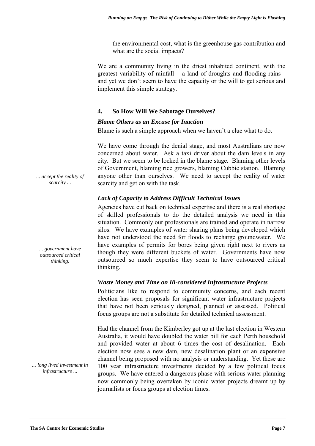the environmental cost, what is the greenhouse gas contribution and what are the social impacts?

We are a community living in the driest inhabited continent, with the greatest variability of rainfall  $-$  a land of droughts and flooding rains and yet we don't seem to have the capacity or the will to get serious and implement this simple strategy.

#### **4. So How Will We Sabotage Ourselves?**

#### *Blame Others as an Excuse for Inaction*

Blame is such a simple approach when we haven't a clue what to do.

We have come through the denial stage, and most Australians are now concerned about water. Ask a taxi driver about the dam levels in any city. But we seem to be locked in the blame stage. Blaming other levels of Government, blaming rice growers, blaming Cubbie station. Blaming anyone other than ourselves. We need to accept the reality of water scarcity and get on with the task.

#### *Lack of Capacity to Address Difficult Technical Issues*

Agencies have cut back on technical expertise and there is a real shortage of skilled professionals to do the detailed analysis we need in this situation. Commonly our professionals are trained and operate in narrow silos. We have examples of water sharing plans being developed which have not understood the need for floods to recharge groundwater. We have examples of permits for bores being given right next to rivers as though they were different buckets of water. Governments have now outsourced so much expertise they seem to have outsourced critical thinking.

#### *Waste Money and Time on Ill-considered Infrastructure Projects*

Politicians like to respond to community concerns, and each recent election has seen proposals for significant water infrastructure projects that have not been seriously designed, planned or assessed. Political focus groups are not a substitute for detailed technical assessment.

Had the channel from the Kimberley got up at the last election in Western Australia, it would have doubled the water bill for each Perth household and provided water at about 6 times the cost of desalination. Each election now sees a new dam, new desalination plant or an expensive channel being proposed with no analysis or understanding. Yet these are 100 year infrastructure investments decided by a few political focus groups. We have entered a dangerous phase with serious water planning now commonly being overtaken by iconic water projects dreamt up by journalists or focus groups at election times.

*... accept the reality of scarcity ...* 

*... government have outsourced critical thinking.* 

*... long lived investment in infrastructure ...*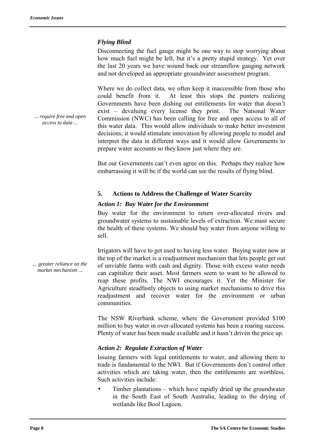#### *Flying Blind*

Disconnecting the fuel gauge might be one way to stop worrying about how much fuel might be left, but it's a pretty stupid strategy. Yet over the last 20 years we have wound back our streamflow gauging network and not developed an appropriate groundwater assessment program.

Where we do collect data, we often keep it inaccessible from those who could benefit from it. At least this stops the punters realizing Governments have been dishing out entitlements for water that doesn't exist – devaluing every license they print. The National Water Commission (NWC) has been calling for free and open access to all of this water data. This would allow individuals to make better investment decisions, it would stimulate innovation by allowing people to model and interpret the data in different ways and it would allow Governments to prepare water accounts so they know just where they are.

But our Governments can't even agree on this. Perhaps they realize how embarrassing it will be if the world can see the results of flying blind.

#### **5. Actions to Address the Challenge of Water Scarcity**

#### *Action 1: Buy Water for the Environment*

Buy water for the environment to return over-allocated rivers and groundwater systems to sustainable levels of extraction. We must secure the health of these systems. We should buy water from anyone willing to sell.

Irrigators will have to get used to having less water. Buying water now at the top of the market is a readjustment mechanism that lets people get out of unviable farms with cash and dignity. Those with excess water needs can capitalize their asset. Most farmers seem to want to be allowed to reap these profits. The NWI encourages it. Yet the Minister for Agriculture steadfastly objects to using market mechanisms to drive this readjustment and recover water for the environment or urban communities.

The NSW Riverbank scheme, where the Government provided \$100 million to buy water in over-allocated systems has been a roaring success. Plenty of water has been made available and it hasn't driven the price up.

#### *Action 2: Regulate Extraction of Water*

Issuing farmers with legal entitlements to water, and allowing them to trade is fundamental to the NWI. But if Governments don't control other activities which are taking water, then the entitlements are worthless. Such activities include:

Timber plantations  $-$  which have rapidly dried up the groundwater in the South East of South Australia, leading to the drying of wetlands like Bool Lagoon.

*... greater reliance on the market mechanism ...* 

*... require free and open access to data ...*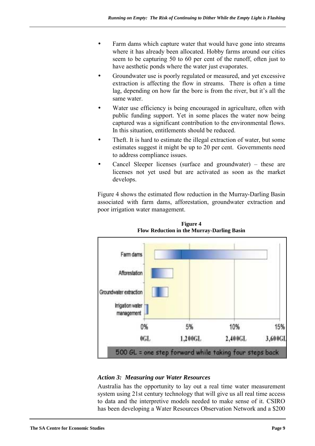- Farm dams which capture water that would have gone into streams where it has already been allocated. Hobby farms around our cities seem to be capturing 50 to 60 per cent of the runoff, often just to have aesthetic ponds where the water just evaporates.
- Groundwater use is poorly regulated or measured, and yet excessive extraction is affecting the flow in streams. There is often a time lag, depending on how far the bore is from the river, but it's all the same water.
- Water use efficiency is being encouraged in agriculture, often with public funding support. Yet in some places the water now being captured was a significant contribution to the environmental flows. In this situation, entitlements should be reduced.
- Theft. It is hard to estimate the illegal extraction of water, but some estimates suggest it might be up to 20 per cent. Governments need to address compliance issues.
- Cancel Sleeper licenses (surface and groundwater) these are licenses not yet used but are activated as soon as the market develops.

Figure 4 shows the estimated flow reduction in the Murray-Darling Basin associated with farm dams, afforestation, groundwater extraction and poor irrigation water management.



**Figure 4 Flow Reduction in the Murray-Darling Basin** 

#### *Action 3: Measuring our Water Resources*

Australia has the opportunity to lay out a real time water measurement system using 21st century technology that will give us all real time access to data and the interpretive models needed to make sense of it. CSIRO has been developing a Water Resources Observation Network and a \$200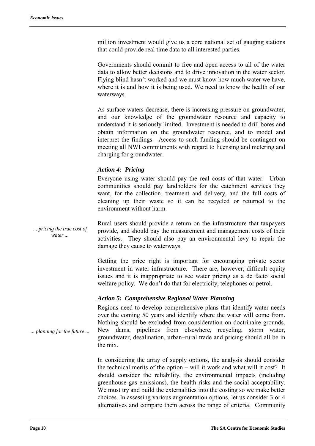million investment would give us a core national set of gauging stations that could provide real time data to all interested parties.

Governments should commit to free and open access to all of the water data to allow better decisions and to drive innovation in the water sector. Flying blind hasn't worked and we must know how much water we have. where it is and how it is being used. We need to know the health of our waterways.

As surface waters decrease, there is increasing pressure on groundwater, and our knowledge of the groundwater resource and capacity to understand it is seriously limited. Investment is needed to drill bores and obtain information on the groundwater resource, and to model and interpret the findings. Access to such funding should be contingent on meeting all NWI commitments with regard to licensing and metering and charging for groundwater.

#### *Action 4: Pricing*

Everyone using water should pay the real costs of that water. Urban communities should pay landholders for the catchment services they want, for the collection, treatment and delivery, and the full costs of cleaning up their waste so it can be recycled or returned to the environment without harm.

*... pricing the true cost of water ...*  Rural users should provide a return on the infrastructure that taxpayers provide, and should pay the measurement and management costs of their activities. They should also pay an environmental levy to repair the damage they cause to waterways.

> Getting the price right is important for encouraging private sector investment in water infrastructure. There are, however, difficult equity issues and it is inappropriate to see water pricing as a de facto social welfare policy. We don't do that for electricity, telephones or petrol.

#### *Action 5: Comprehensive Regional Water Planning*

*... planning for the future ...*  Regions need to develop comprehensive plans that identify water needs over the coming 50 years and identify where the water will come from. Nothing should be excluded from consideration on doctrinaire grounds. New dams, pipelines from elsewhere, recycling, storm water, groundwater, desalination, urban-rural trade and pricing should all be in the mix.

> In considering the array of supply options, the analysis should consider the technical merits of the option  $-$  will it work and what will it cost? It should consider the reliability, the environmental impacts (including greenhouse gas emissions), the health risks and the social acceptability. We must try and build the externalities into the costing so we make better choices. In assessing various augmentation options, let us consider 3 or 4 alternatives and compare them across the range of criteria. Community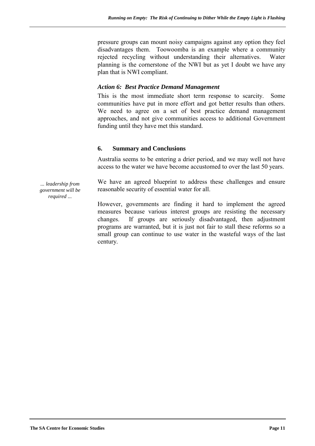pressure groups can mount noisy campaigns against any option they feel disadvantages them. Toowoomba is an example where a community rejected recycling without understanding their alternatives. Water planning is the cornerstone of the NWI but as yet I doubt we have any plan that is NWI compliant.

#### *Action 6: Best Practice Demand Management*

This is the most immediate short term response to scarcity. Some communities have put in more effort and got better results than others. We need to agree on a set of best practice demand management approaches, and not give communities access to additional Government funding until they have met this standard.

#### **6. Summary and Conclusions**

Australia seems to be entering a drier period, and we may well not have access to the water we have become accustomed to over the last 50 years.

We have an agreed blueprint to address these challenges and ensure reasonable security of essential water for all.

However, governments are finding it hard to implement the agreed measures because various interest groups are resisting the necessary changes. If groups are seriously disadvantaged, then adjustment programs are warranted, but it is just not fair to stall these reforms so a small group can continue to use water in the wasteful ways of the last century.

*... leadership from government will be required ...*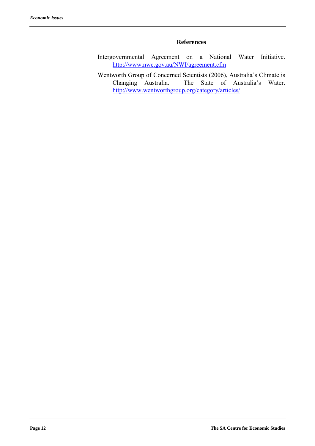#### **References**

- Intergovernmental Agreement on a National Water Initiative. http://www.nwc.gov.au/NWI/agreement.cfm
- Wentworth Group of Concerned Scientists (2006), Australia's Climate is<br>Changing Australia. The State of Australia's Water. The State of Australia's Water. http://www.wentworthgroup.org/category/articles/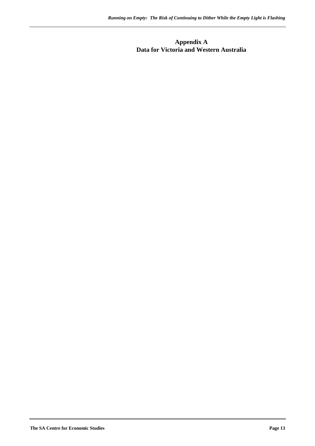#### **Appendix A Data for Victoria and Western Australia**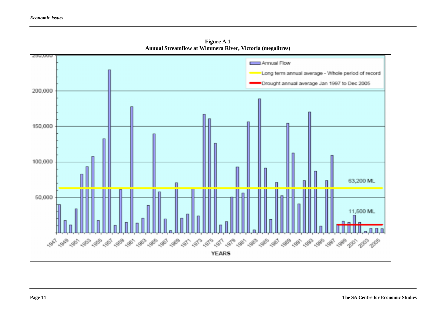

 **Figure A.1 Annual Streamflow at Wimmera River, Victoria (megalitres)**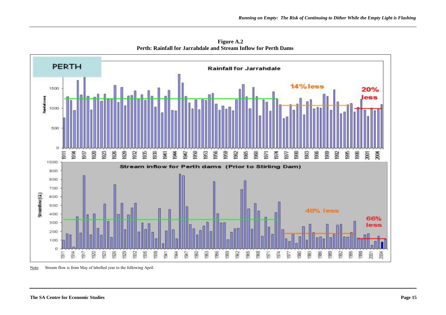

**Figure A.2 Perth: Rainfall for Jarrahdale and Stream Inflow for Perth Dams** 

Note: Stream flow is from May of labelled year to the following April.